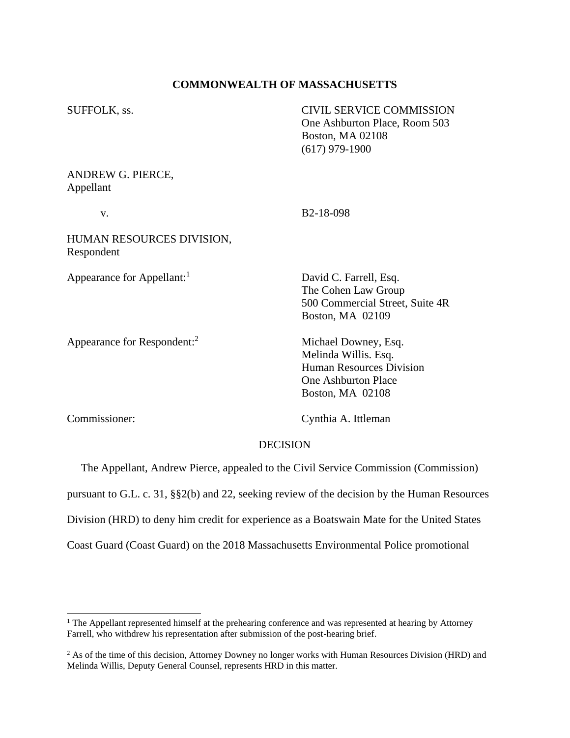# **COMMONWEALTH OF MASSACHUSETTS**

| SUFFOLK, ss.                            | <b>CIVIL SERVICE COMMISSION</b><br>One Ashburton Place, Room 503<br><b>Boston, MA 02108</b><br>$(617)$ 979-1900                   |
|-----------------------------------------|-----------------------------------------------------------------------------------------------------------------------------------|
| ANDREW G. PIERCE,<br>Appellant          |                                                                                                                                   |
| V.                                      | B <sub>2</sub> -18-098                                                                                                            |
| HUMAN RESOURCES DIVISION,<br>Respondent |                                                                                                                                   |
| Appearance for Appellant:               | David C. Farrell, Esq.<br>The Cohen Law Group<br>500 Commercial Street, Suite 4R<br>Boston, MA 02109                              |
| Appearance for Respondent: <sup>2</sup> | Michael Downey, Esq.<br>Melinda Willis. Esq.<br><b>Human Resources Division</b><br><b>One Ashburton Place</b><br>Boston, MA 02108 |

Commissioner: Cynthia A. Ittleman

## DECISION

The Appellant, Andrew Pierce, appealed to the Civil Service Commission (Commission)

pursuant to G.L. c. 31, §§2(b) and 22, seeking review of the decision by the Human Resources

Division (HRD) to deny him credit for experience as a Boatswain Mate for the United States

Coast Guard (Coast Guard) on the 2018 Massachusetts Environmental Police promotional

<sup>&</sup>lt;sup>1</sup> The Appellant represented himself at the prehearing conference and was represented at hearing by Attorney Farrell, who withdrew his representation after submission of the post-hearing brief.

<sup>&</sup>lt;sup>2</sup> As of the time of this decision, Attorney Downey no longer works with Human Resources Division (HRD) and Melinda Willis, Deputy General Counsel, represents HRD in this matter.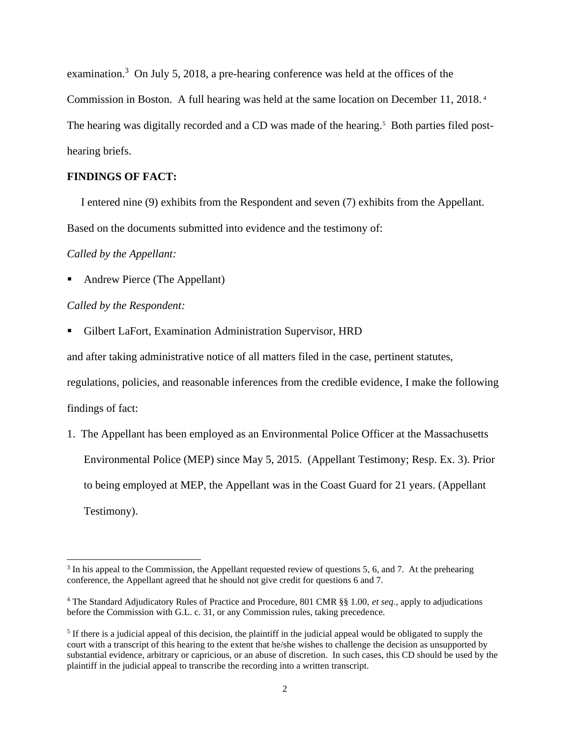examination.<sup>3</sup> On July 5, 2018, a pre-hearing conference was held at the offices of the Commission in Boston. A full hearing was held at the same location on December 11, 2018. 4 The hearing was digitally recorded and a CD was made of the hearing.<sup>5</sup> Both parties filed posthearing briefs.

# **FINDINGS OF FACT:**

I entered nine (9) exhibits from the Respondent and seven (7) exhibits from the Appellant.

Based on the documents submitted into evidence and the testimony of:

## *Called by the Appellant:*

■ Andrew Pierce (The Appellant)

# *Called by the Respondent:*

■ Gilbert LaFort, Examination Administration Supervisor, HRD

and after taking administrative notice of all matters filed in the case, pertinent statutes,

regulations, policies, and reasonable inferences from the credible evidence, I make the following findings of fact:

1. The Appellant has been employed as an Environmental Police Officer at the Massachusetts Environmental Police (MEP) since May 5, 2015. (Appellant Testimony; Resp. Ex. 3). Prior to being employed at MEP, the Appellant was in the Coast Guard for 21 years. (Appellant Testimony).

<sup>&</sup>lt;sup>3</sup> In his appeal to the Commission, the Appellant requested review of questions 5, 6, and 7. At the prehearing conference, the Appellant agreed that he should not give credit for questions 6 and 7.

<sup>4</sup> The Standard Adjudicatory Rules of Practice and Procedure, 801 CMR §§ 1.00, *et seq.*, apply to adjudications before the Commission with G.L. c. 31, or any Commission rules, taking precedence.

 $<sup>5</sup>$  If there is a judicial appeal of this decision, the plaintiff in the judicial appeal would be obligated to supply the</sup> court with a transcript of this hearing to the extent that he/she wishes to challenge the decision as unsupported by substantial evidence, arbitrary or capricious, or an abuse of discretion. In such cases, this CD should be used by the plaintiff in the judicial appeal to transcribe the recording into a written transcript.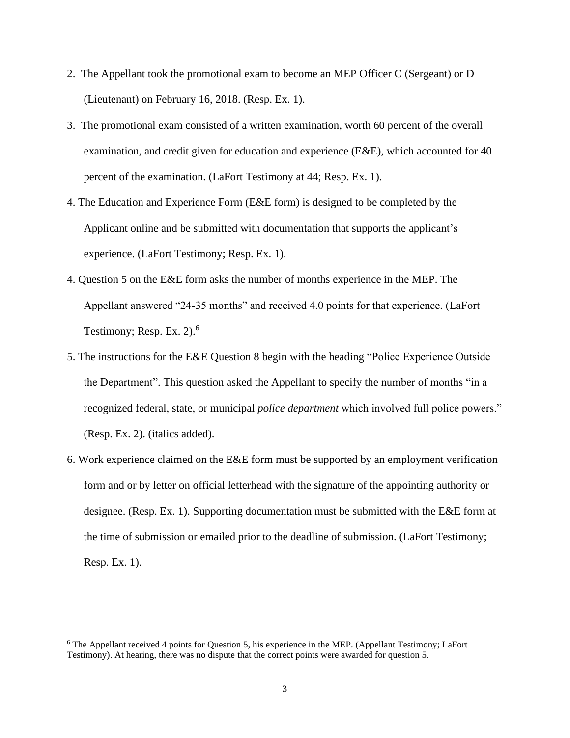- 2. The Appellant took the promotional exam to become an MEP Officer C (Sergeant) or D (Lieutenant) on February 16, 2018. (Resp. Ex. 1).
- 3. The promotional exam consisted of a written examination, worth 60 percent of the overall examination, and credit given for education and experience (E&E), which accounted for 40 percent of the examination. (LaFort Testimony at 44; Resp. Ex. 1).
- 4. The Education and Experience Form (E&E form) is designed to be completed by the Applicant online and be submitted with documentation that supports the applicant's experience. (LaFort Testimony; Resp. Ex. 1).
- 4. Question 5 on the E&E form asks the number of months experience in the MEP. The Appellant answered "24-35 months" and received 4.0 points for that experience. (LaFort Testimony; Resp. Ex.  $2)$ .<sup>6</sup>
- 5. The instructions for the E&E Question 8 begin with the heading "Police Experience Outside the Department". This question asked the Appellant to specify the number of months "in a recognized federal, state, or municipal *police department* which involved full police powers." (Resp. Ex. 2). (italics added).
- 6. Work experience claimed on the E&E form must be supported by an employment verification form and or by letter on official letterhead with the signature of the appointing authority or designee. (Resp. Ex. 1). Supporting documentation must be submitted with the E&E form at the time of submission or emailed prior to the deadline of submission. (LaFort Testimony; Resp. Ex. 1).

<sup>6</sup> The Appellant received 4 points for Question 5, his experience in the MEP. (Appellant Testimony; LaFort Testimony). At hearing, there was no dispute that the correct points were awarded for question 5.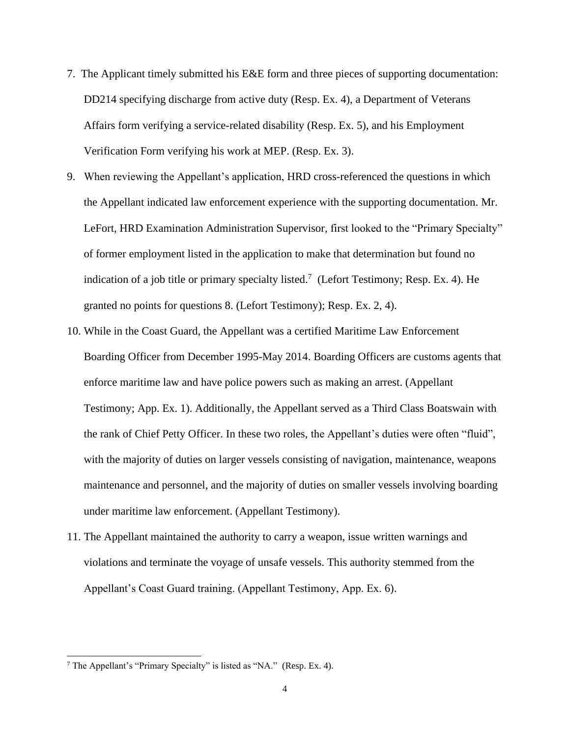- 7. The Applicant timely submitted his E&E form and three pieces of supporting documentation: DD214 specifying discharge from active duty (Resp. Ex. 4), a Department of Veterans Affairs form verifying a service-related disability (Resp. Ex. 5), and his Employment Verification Form verifying his work at MEP. (Resp. Ex. 3).
- 9. When reviewing the Appellant's application, HRD cross-referenced the questions in which the Appellant indicated law enforcement experience with the supporting documentation. Mr. LeFort, HRD Examination Administration Supervisor, first looked to the "Primary Specialty" of former employment listed in the application to make that determination but found no indication of a job title or primary specialty listed.<sup>7</sup> (Lefort Testimony; Resp. Ex. 4). He granted no points for questions 8. (Lefort Testimony); Resp. Ex. 2, 4).
- 10. While in the Coast Guard, the Appellant was a certified Maritime Law Enforcement Boarding Officer from December 1995-May 2014. Boarding Officers are customs agents that enforce maritime law and have police powers such as making an arrest. (Appellant Testimony; App. Ex. 1). Additionally, the Appellant served as a Third Class Boatswain with the rank of Chief Petty Officer. In these two roles, the Appellant's duties were often "fluid", with the majority of duties on larger vessels consisting of navigation, maintenance, weapons maintenance and personnel, and the majority of duties on smaller vessels involving boarding under maritime law enforcement. (Appellant Testimony).
- 11. The Appellant maintained the authority to carry a weapon, issue written warnings and violations and terminate the voyage of unsafe vessels. This authority stemmed from the Appellant's Coast Guard training. (Appellant Testimony, App. Ex. 6).

<sup>7</sup> The Appellant's "Primary Specialty" is listed as "NA." (Resp. Ex. 4).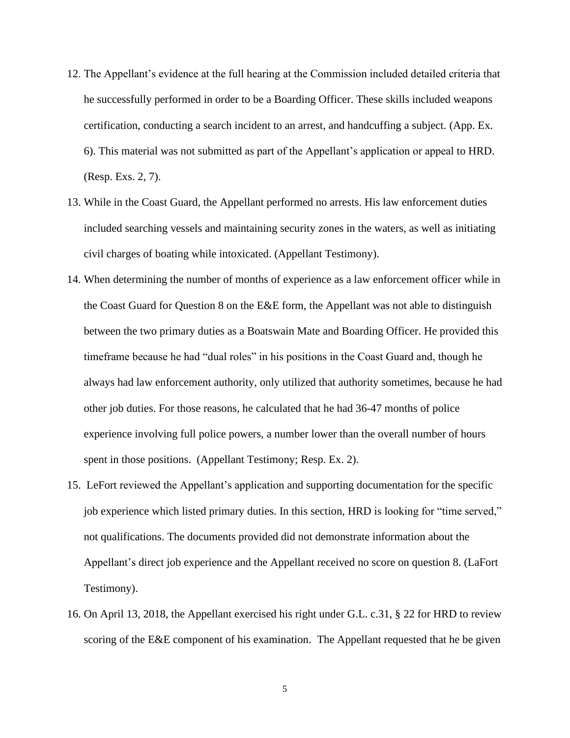- 12. The Appellant's evidence at the full hearing at the Commission included detailed criteria that he successfully performed in order to be a Boarding Officer. These skills included weapons certification, conducting a search incident to an arrest, and handcuffing a subject. (App. Ex. 6). This material was not submitted as part of the Appellant's application or appeal to HRD. (Resp. Exs. 2, 7).
- 13. While in the Coast Guard, the Appellant performed no arrests. His law enforcement duties included searching vessels and maintaining security zones in the waters, as well as initiating civil charges of boating while intoxicated. (Appellant Testimony).
- 14. When determining the number of months of experience as a law enforcement officer while in the Coast Guard for Question 8 on the E&E form, the Appellant was not able to distinguish between the two primary duties as a Boatswain Mate and Boarding Officer. He provided this timeframe because he had "dual roles" in his positions in the Coast Guard and, though he always had law enforcement authority, only utilized that authority sometimes, because he had other job duties. For those reasons, he calculated that he had 36-47 months of police experience involving full police powers, a number lower than the overall number of hours spent in those positions. (Appellant Testimony; Resp. Ex. 2).
- 15. LeFort reviewed the Appellant's application and supporting documentation for the specific job experience which listed primary duties. In this section, HRD is looking for "time served," not qualifications. The documents provided did not demonstrate information about the Appellant's direct job experience and the Appellant received no score on question 8. (LaFort Testimony).
- 16. On April 13, 2018, the Appellant exercised his right under G.L. c.31, § 22 for HRD to review scoring of the E&E component of his examination. The Appellant requested that he be given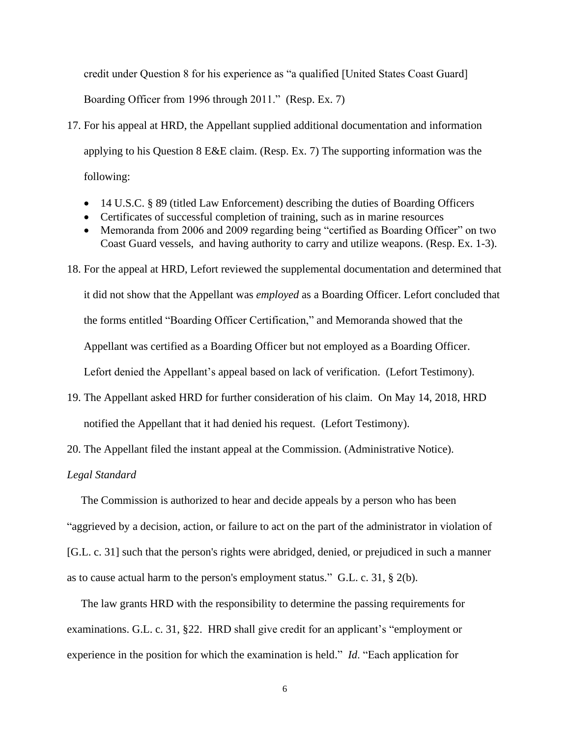credit under Question 8 for his experience as "a qualified [United States Coast Guard] Boarding Officer from 1996 through 2011." (Resp. Ex. 7)

- 17. For his appeal at HRD, the Appellant supplied additional documentation and information applying to his Question 8 E&E claim. (Resp. Ex. 7) The supporting information was the following:
	- 14 U.S.C. § 89 (titled Law Enforcement) describing the duties of Boarding Officers
	- Certificates of successful completion of training, such as in marine resources
	- Memoranda from 2006 and 2009 regarding being "certified as Boarding Officer" on two Coast Guard vessels, and having authority to carry and utilize weapons. (Resp. Ex. 1-3).
- 18. For the appeal at HRD, Lefort reviewed the supplemental documentation and determined that it did not show that the Appellant was *employed* as a Boarding Officer. Lefort concluded that the forms entitled "Boarding Officer Certification," and Memoranda showed that the Appellant was certified as a Boarding Officer but not employed as a Boarding Officer. Lefort denied the Appellant's appeal based on lack of verification. (Lefort Testimony).
- 19. The Appellant asked HRD for further consideration of his claim. On May 14, 2018, HRD notified the Appellant that it had denied his request. (Lefort Testimony).
- 20. The Appellant filed the instant appeal at the Commission. (Administrative Notice).

*Legal Standard*

 The Commission is authorized to hear and decide appeals by a person who has been "aggrieved by a decision, action, or failure to act on the part of the administrator in violation of [G.L. c. 31] such that the person's rights were abridged, denied, or prejudiced in such a manner as to cause actual harm to the person's employment status." G.L. c. 31, § 2(b).

 The law grants HRD with the responsibility to determine the passing requirements for examinations. G.L. c. 31, §22. HRD shall give credit for an applicant's "employment or experience in the position for which the examination is held." *Id*. "Each application for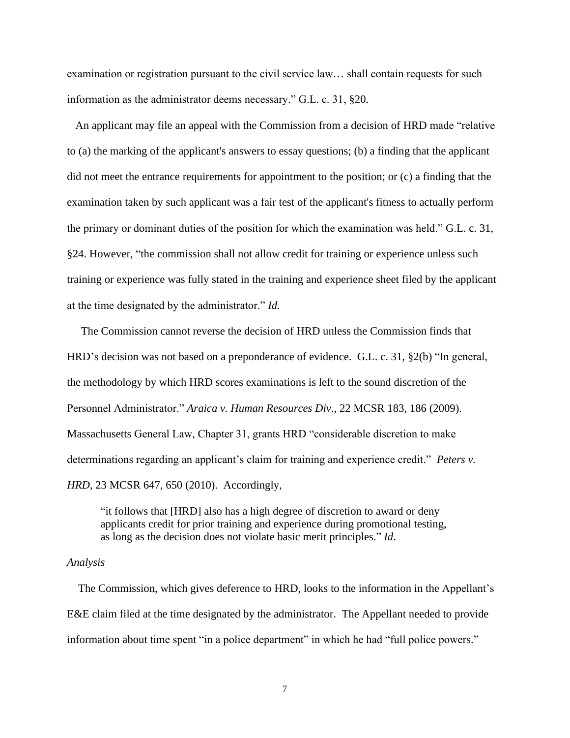examination or registration pursuant to the civil service law… shall contain requests for such information as the administrator deems necessary." G.L. c. 31, §20.

 An applicant may file an appeal with the Commission from a decision of HRD made "relative to (a) the marking of the applicant's answers to essay questions; (b) a finding that the applicant did not meet the entrance requirements for appointment to the position; or (c) a finding that the examination taken by such applicant was a fair test of the applicant's fitness to actually perform the primary or dominant duties of the position for which the examination was held." G.L. c. 31, §24. However, "the commission shall not allow credit for training or experience unless such training or experience was fully stated in the training and experience sheet filed by the applicant at the time designated by the administrator." *Id.*

 The Commission cannot reverse the decision of HRD unless the Commission finds that HRD's decision was not based on a preponderance of evidence. G.L. c. 31, §2(b) "In general, the methodology by which HRD scores examinations is left to the sound discretion of the Personnel Administrator." *Araica v. Human Resources Div*., 22 MCSR 183, 186 (2009). Massachusetts General Law, Chapter 31, grants HRD "considerable discretion to make determinations regarding an applicant's claim for training and experience credit." *Peters v. HRD*, 23 MCSR 647, 650 (2010). Accordingly,

"it follows that [HRD] also has a high degree of discretion to award or deny applicants credit for prior training and experience during promotional testing, as long as the decision does not violate basic merit principles." *Id*.

#### *Analysis*

 The Commission, which gives deference to HRD, looks to the information in the Appellant's E&E claim filed at the time designated by the administrator. The Appellant needed to provide information about time spent "in a police department" in which he had "full police powers."

7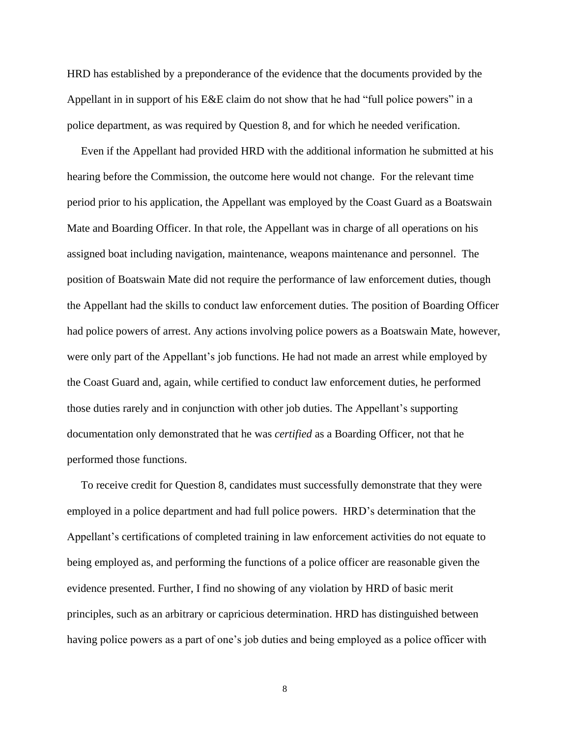HRD has established by a preponderance of the evidence that the documents provided by the Appellant in in support of his E&E claim do not show that he had "full police powers" in a police department, as was required by Question 8, and for which he needed verification.

 Even if the Appellant had provided HRD with the additional information he submitted at his hearing before the Commission, the outcome here would not change. For the relevant time period prior to his application, the Appellant was employed by the Coast Guard as a Boatswain Mate and Boarding Officer. In that role, the Appellant was in charge of all operations on his assigned boat including navigation, maintenance, weapons maintenance and personnel. The position of Boatswain Mate did not require the performance of law enforcement duties, though the Appellant had the skills to conduct law enforcement duties. The position of Boarding Officer had police powers of arrest. Any actions involving police powers as a Boatswain Mate, however, were only part of the Appellant's job functions. He had not made an arrest while employed by the Coast Guard and, again, while certified to conduct law enforcement duties, he performed those duties rarely and in conjunction with other job duties. The Appellant's supporting documentation only demonstrated that he was *certified* as a Boarding Officer, not that he performed those functions.

 To receive credit for Question 8, candidates must successfully demonstrate that they were employed in a police department and had full police powers. HRD's determination that the Appellant's certifications of completed training in law enforcement activities do not equate to being employed as, and performing the functions of a police officer are reasonable given the evidence presented. Further, I find no showing of any violation by HRD of basic merit principles, such as an arbitrary or capricious determination. HRD has distinguished between having police powers as a part of one's job duties and being employed as a police officer with

8